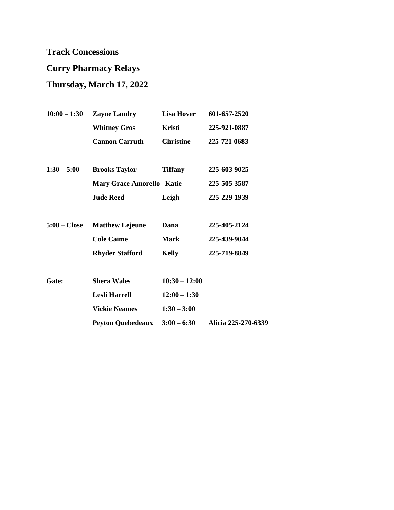## **Curry Pharmacy Relays**

## **Thursday, March 17, 2022**

| $10:00 - 1:30$ | <b>Zayne Landry</b>              | <b>Lisa Hover</b> | 601-657-2520        |
|----------------|----------------------------------|-------------------|---------------------|
|                | <b>Whitney Gros</b>              | Kristi            | 225-921-0887        |
|                | <b>Cannon Carruth</b>            | <b>Christine</b>  | 225-721-0683        |
|                |                                  |                   |                     |
| $1:30 - 5:00$  | <b>Brooks Taylor</b>             | <b>Tiffany</b>    | 225-603-9025        |
|                | <b>Mary Grace Amorello Katie</b> |                   | 225-505-3587        |
|                | <b>Jude Reed</b>                 | Leigh             | 225-229-1939        |
|                |                                  |                   |                     |
| $5:00$ – Close | <b>Matthew Lejeune</b>           | Dana              | 225-405-2124        |
|                | <b>Cole Caime</b>                | <b>Mark</b>       | 225-439-9044        |
|                | <b>Rhyder Stafford</b>           | <b>Kelly</b>      | 225-719-8849        |
|                |                                  |                   |                     |
| Gate:          | <b>Shera Wales</b>               | $10:30 - 12:00$   |                     |
|                | <b>Lesli Harrell</b>             | $12:00 - 1:30$    |                     |
|                | <b>Vickie Neames</b>             | $1:30 - 3:00$     |                     |
|                | Peyton Quebedeaux 3:00 - 6:30    |                   | Alicia 225-270-6339 |
|                |                                  |                   |                     |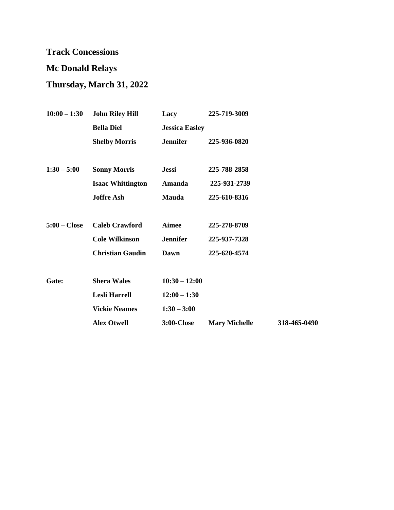## **Mc Donald Relays**

## **Thursday, March 31, 2022**

| $10:00 - 1:30$ | <b>John Riley Hill</b>   | Lacy                  | 225-719-3009         |              |
|----------------|--------------------------|-----------------------|----------------------|--------------|
|                | <b>Bella Diel</b>        | <b>Jessica Easley</b> |                      |              |
|                | <b>Shelby Morris</b>     | <b>Jennifer</b>       | 225-936-0820         |              |
|                |                          |                       |                      |              |
| $1:30 - 5:00$  | <b>Sonny Morris</b>      | <b>Jessi</b>          | 225-788-2858         |              |
|                | <b>Isaac Whittington</b> | Amanda                | 225-931-2739         |              |
|                | <b>Joffre</b> Ash        | <b>Mauda</b>          | 225-610-8316         |              |
|                |                          |                       |                      |              |
| $5:00$ – Close | <b>Caleb Crawford</b>    | <b>Aimee</b>          | 225-278-8709         |              |
|                | <b>Cole Wilkinson</b>    | <b>Jennifer</b>       | 225-937-7328         |              |
|                | <b>Christian Gaudin</b>  | Dawn                  | 225-620-4574         |              |
|                |                          |                       |                      |              |
| Gate:          | <b>Shera Wales</b>       | $10:30 - 12:00$       |                      |              |
|                | <b>Lesli Harrell</b>     | $12:00 - 1:30$        |                      |              |
|                | <b>Vickie Neames</b>     | $1:30 - 3:00$         |                      |              |
|                | <b>Alex Otwell</b>       | <b>3:00-Close</b>     | <b>Mary Michelle</b> | 318-465-0490 |
|                |                          |                       |                      |              |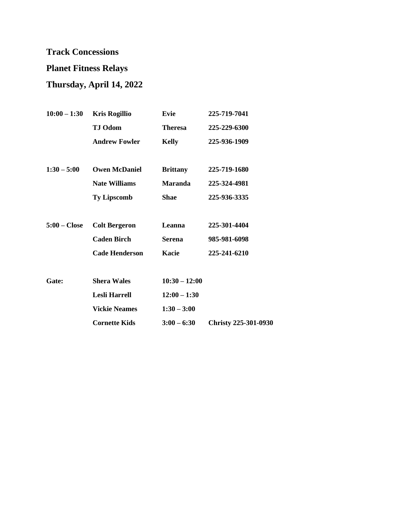## **Planet Fitness Relays**

# **Thursday, April 14, 2022**

| $10:00 - 1:30$ | <b>Kris Rogillio</b>  | Evie            | 225-719-7041                |
|----------------|-----------------------|-----------------|-----------------------------|
|                | <b>TJ Odom</b>        | <b>Theresa</b>  | 225-229-6300                |
|                | <b>Andrew Fowler</b>  | <b>Kelly</b>    | 225-936-1909                |
|                |                       |                 |                             |
| $1:30 - 5:00$  | <b>Owen McDaniel</b>  | <b>Brittany</b> | 225-719-1680                |
|                | <b>Nate Williams</b>  | <b>Maranda</b>  | 225-324-4981                |
|                | <b>Ty Lipscomb</b>    | <b>Shae</b>     | 225-936-3335                |
|                |                       |                 |                             |
| $5:00$ – Close | <b>Colt Bergeron</b>  | Leanna          | 225-301-4404                |
|                | <b>Caden Birch</b>    | <b>Serena</b>   | 985-981-6098                |
|                | <b>Cade Henderson</b> | Kacie           | 225-241-6210                |
|                |                       |                 |                             |
| Gate:          | <b>Shera Wales</b>    | $10:30 - 12:00$ |                             |
|                | <b>Lesli Harrell</b>  | $12:00 - 1:30$  |                             |
|                | <b>Vickie Neames</b>  | $1:30 - 3:00$   |                             |
|                | <b>Cornette Kids</b>  | $3:00 - 6:30$   | <b>Christy 225-301-0930</b> |
|                |                       |                 |                             |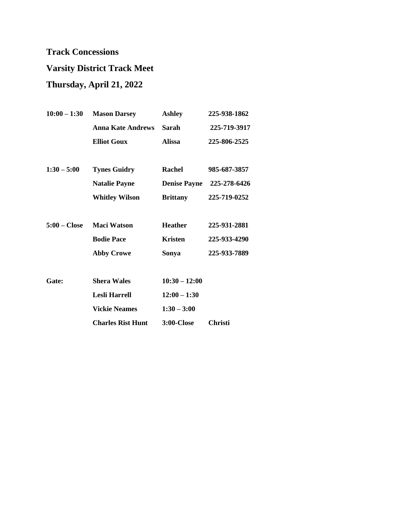# **Varsity District Track Meet**

## **Thursday, April 21, 2022**

| $10:00 - 1:30$ | <b>Mason Darsey</b>      | <b>Ashley</b>       | 225-938-1862   |
|----------------|--------------------------|---------------------|----------------|
|                | <b>Anna Kate Andrews</b> | Sarah               | 225-719-3917   |
|                | <b>Elliot Goux</b>       | <b>Alissa</b>       | 225-806-2525   |
| $1:30 - 5:00$  | <b>Tynes Guidry</b>      | <b>Rachel</b>       | 985-687-3857   |
|                | <b>Natalie Payne</b>     | <b>Denise Payne</b> | 225-278-6426   |
|                | <b>Whitley Wilson</b>    | <b>Brittany</b>     | 225-719-0252   |
| $5:00$ – Close | <b>Maci Watson</b>       | <b>Heather</b>      | 225-931-2881   |
|                | <b>Bodie Pace</b>        | <b>Kristen</b>      | 225-933-4290   |
|                | <b>Abby Crowe</b>        | Sonya               | 225-933-7889   |
| Gate:          | <b>Shera Wales</b>       | $10:30 - 12:00$     |                |
|                | Lesli Harrell            | $12:00 - 1:30$      |                |
|                | <b>Vickie Neames</b>     | $1:30 - 3:00$       |                |
|                | <b>Charles Rist Hunt</b> | <b>3:00-Close</b>   | <b>Christi</b> |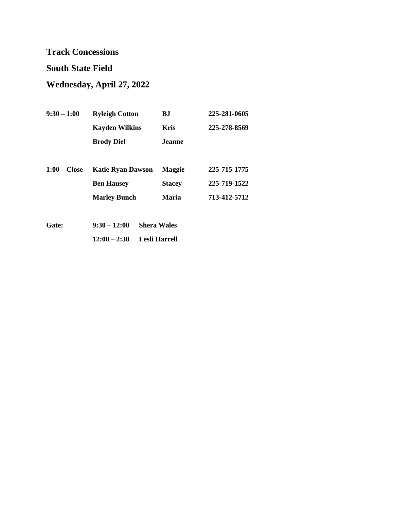#### **South State Field**

## **Wednesday, April 27, 2022**

| $9:30 - 1:00$  | <b>Ryleigh Cotton</b>    | B.I           | 225-281-0605 |
|----------------|--------------------------|---------------|--------------|
|                | <b>Kayden Wilkins</b>    | <b>Kris</b>   | 225-278-8569 |
|                | <b>Brody Diel</b>        | Jeanne.       |              |
|                |                          |               |              |
| $1:00$ – Close | <b>Katie Ryan Dawson</b> | <b>Maggie</b> | 225-715-1775 |
|                | <b>Ben Hausey</b>        | <b>Stacey</b> | 225-719-1522 |
|                | <b>Marley Bunch</b>      | <b>Maria</b>  | 713-412-5712 |
|                |                          |               |              |
|                |                          |               |              |

| <b>Gate:</b> | $9:30 - 12:00$ Shera Wales |
|--------------|----------------------------|
|              | $12:00-2:30$ Lesli Harrell |